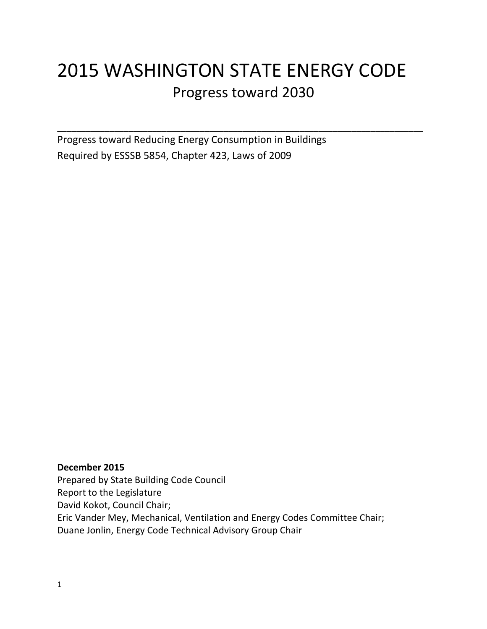# 2015 WASHINGTON STATE ENERGY CODE Progress toward 2030

\_\_\_\_\_\_\_\_\_\_\_\_\_\_\_\_\_\_\_\_\_\_\_\_\_\_\_\_\_\_\_\_\_\_\_\_\_\_\_\_\_\_\_\_\_\_\_\_\_\_\_\_\_\_\_\_\_\_\_\_\_\_\_\_\_\_\_\_\_\_\_\_\_\_\_\_\_

Progress toward Reducing Energy Consumption in Buildings Required by ESSSB 5854, Chapter 423, Laws of 2009

**December 2015** Prepared by State Building Code Council Report to the Legislature David Kokot, Council Chair; Eric Vander Mey, Mechanical, Ventilation and Energy Codes Committee Chair; Duane Jonlin, Energy Code Technical Advisory Group Chair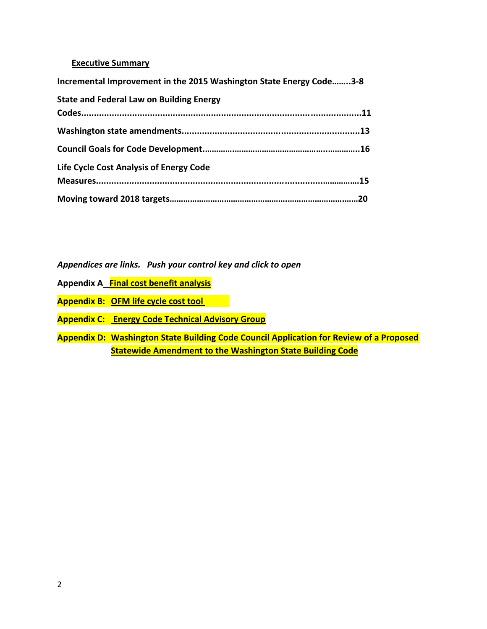#### **Executive Summary**

| Incremental Improvement in the 2015 Washington State Energy Code3-8 |     |
|---------------------------------------------------------------------|-----|
| <b>State and Federal Law on Building Energy</b>                     |     |
|                                                                     |     |
|                                                                     |     |
|                                                                     |     |
| Life Cycle Cost Analysis of Energy Code                             |     |
|                                                                     |     |
|                                                                     | .20 |

*Appendices are links. Push your control key and click to open*

- **Appendix A Final [cost benefit analysis](https://fortress.wa.gov/ga/apps/sbcc/Page.aspx?nid=215)**
- **Appendix B: [OFM life cycle cost tool](https://fortress.wa.gov/ga/apps/SBCC/File.ashx?cid=6075)**
- **Appendix C: [Energy Code Technical Advisory Group](https://fortress.wa.gov/ga/apps/sbcc/Page.aspx?nid=116)**
- **Appendix D: Washington State Building Code [Council Application for Review of a Proposed](https://fortress.wa.gov/ga/apps/sbcc/Page.aspx?nid=55)  [Statewide Amendment to the Washington State Building Code](https://fortress.wa.gov/ga/apps/sbcc/Page.aspx?nid=55)**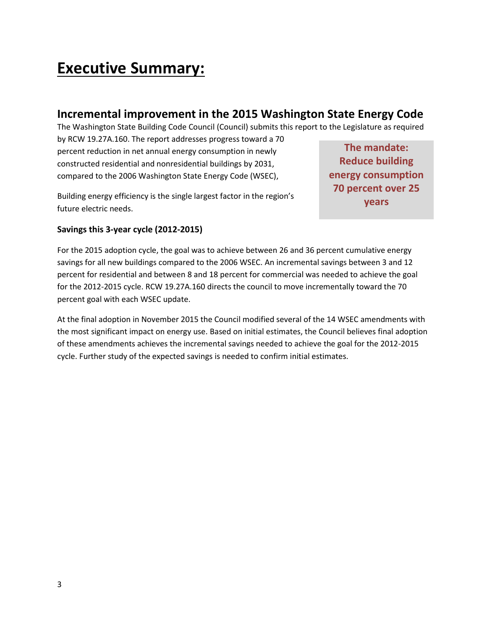# **Executive Summary:**

# **Incremental improvement in the 2015 Washington State Energy Code**

The Washington State Building Code Council (Council) submits this report to the Legislature as required

by RCW 19.27A.160. The report addresses progress toward a 70 percent reduction in net annual energy consumption in newly constructed residential and nonresidential buildings by 2031, compared to the 2006 Washington State Energy Code (WSEC),

Building energy efficiency is the single largest factor in the region's future electric needs.

**The mandate: Reduce building energy consumption 70 percent over 25 years**

### **Savings this 3-year cycle (2012-2015)**

For the 2015 adoption cycle, the goal was to achieve between 26 and 36 percent cumulative energy savings for all new buildings compared to the 2006 WSEC. An incremental savings between 3 and 12 percent for residential and between 8 and 18 percent for commercial was needed to achieve the goal for the 2012-2015 cycle. RCW 19.27A.160 directs the council to move incrementally toward the 70 percent goal with each WSEC update.

At the final adoption in November 2015 the Council modified several of the 14 WSEC amendments with the most significant impact on energy use. Based on initial estimates, the Council believes final adoption of these amendments achieves the incremental savings needed to achieve the goal for the 2012-2015 cycle. Further study of the expected savings is needed to confirm initial estimates.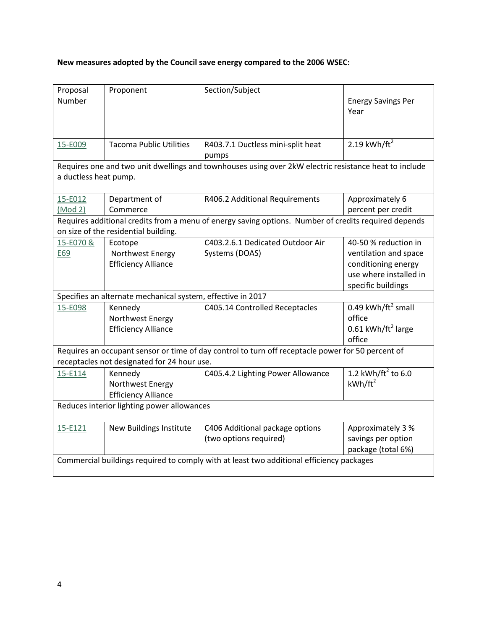## **New measures adopted by the Council save energy compared to the 2006 WSEC:**

| Proposal                                                                                 | Proponent                                                   | Section/Subject                                                                                       |                                   |  |
|------------------------------------------------------------------------------------------|-------------------------------------------------------------|-------------------------------------------------------------------------------------------------------|-----------------------------------|--|
| Number                                                                                   |                                                             |                                                                                                       | <b>Energy Savings Per</b><br>Year |  |
|                                                                                          |                                                             |                                                                                                       |                                   |  |
|                                                                                          |                                                             |                                                                                                       |                                   |  |
| 15-E009                                                                                  | <b>Tacoma Public Utilities</b>                              | R403.7.1 Ductless mini-split heat                                                                     | 2.19 kWh/ft <sup>2</sup>          |  |
|                                                                                          |                                                             | pumps                                                                                                 |                                   |  |
| a ductless heat pump.                                                                    |                                                             | Requires one and two unit dwellings and townhouses using over 2kW electric resistance heat to include |                                   |  |
|                                                                                          |                                                             |                                                                                                       |                                   |  |
| 15-E012                                                                                  | Department of                                               | R406.2 Additional Requirements                                                                        | Approximately 6                   |  |
| (Mod 2)                                                                                  | Commerce                                                    |                                                                                                       | percent per credit                |  |
|                                                                                          |                                                             | Requires additional credits from a menu of energy saving options. Number of credits required depends  |                                   |  |
|                                                                                          | on size of the residential building.                        |                                                                                                       |                                   |  |
| 15-E070 &                                                                                | Ecotope                                                     | C403.2.6.1 Dedicated Outdoor Air                                                                      | 40-50 % reduction in              |  |
| E69                                                                                      | Northwest Energy                                            | Systems (DOAS)                                                                                        | ventilation and space             |  |
|                                                                                          | <b>Efficiency Alliance</b>                                  |                                                                                                       | conditioning energy               |  |
|                                                                                          |                                                             |                                                                                                       | use where installed in            |  |
|                                                                                          |                                                             |                                                                                                       | specific buildings                |  |
|                                                                                          | Specifies an alternate mechanical system, effective in 2017 |                                                                                                       |                                   |  |
| 15-E098                                                                                  | Kennedy                                                     | C405.14 Controlled Receptacles                                                                        | 0.49 kWh/ft <sup>2</sup> small    |  |
|                                                                                          | Northwest Energy                                            |                                                                                                       | office                            |  |
|                                                                                          | <b>Efficiency Alliance</b>                                  |                                                                                                       | 0.61 kWh/ft <sup>2</sup> large    |  |
|                                                                                          |                                                             |                                                                                                       | office                            |  |
|                                                                                          |                                                             | Requires an occupant sensor or time of day control to turn off receptacle power for 50 percent of     |                                   |  |
|                                                                                          | receptacles not designated for 24 hour use.                 |                                                                                                       |                                   |  |
| 15-E114                                                                                  | Kennedy                                                     | C405.4.2 Lighting Power Allowance                                                                     | 1.2 kWh/ft <sup>2</sup> to 6.0    |  |
|                                                                                          | Northwest Energy                                            |                                                                                                       | $kWh/ft^2$                        |  |
|                                                                                          | <b>Efficiency Alliance</b>                                  |                                                                                                       |                                   |  |
| Reduces interior lighting power allowances                                               |                                                             |                                                                                                       |                                   |  |
| 15-E121                                                                                  | New Buildings Institute                                     | C406 Additional package options                                                                       | Approximately 3 %                 |  |
|                                                                                          |                                                             | (two options required)                                                                                | savings per option                |  |
|                                                                                          |                                                             |                                                                                                       | package (total 6%)                |  |
| Commercial buildings required to comply with at least two additional efficiency packages |                                                             |                                                                                                       |                                   |  |
|                                                                                          |                                                             |                                                                                                       |                                   |  |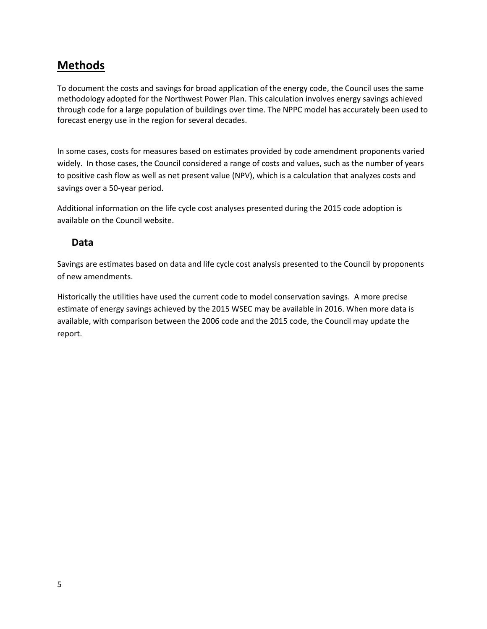# **Methods**

To document the costs and savings for broad application of the energy code, the Council uses the same methodology adopted for the Northwest Power Plan. This calculation involves energy savings achieved through code for a large population of buildings over time. The NPPC model has accurately been used to forecast energy use in the region for several decades.

In some cases, costs for measures based on estimates provided by code amendment proponents varied widely. In those cases, the Council considered a range of costs and values, such as the number of years to positive cash flow as well as net present value (NPV), which is a calculation that analyzes costs and savings over a 50-year period.

Additional information on the life cycle cost analyses presented during the 2015 code adoption is available on the Council website.

## **Data**

Savings are estimates based on data and life cycle cost analysis presented to the Council by proponents of new amendments.

Historically the utilities have used the current code to model conservation savings. A more precise estimate of energy savings achieved by the 2015 WSEC may be available in 2016. When more data is available, with comparison between the 2006 code and the 2015 code, the Council may update the report.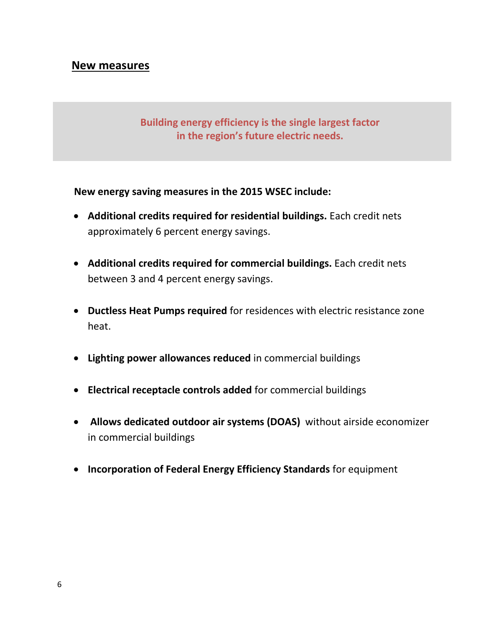## **New measures**

# **Building energy efficiency is the single largest factor in the region's future electric needs.**

## **New energy saving measures in the 2015 WSEC include:**

- **Additional credits required for residential buildings.** Each credit nets approximately 6 percent energy savings.
- **Additional credits required for commercial buildings.** Each credit nets between 3 and 4 percent energy savings.
- **Ductless Heat Pumps required** for residences with electric resistance zone heat.
- **Lighting power allowances reduced** in commercial buildings
- **Electrical receptacle controls added** for commercial buildings
- **Allows dedicated outdoor air systems (DOAS)** without airside economizer in commercial buildings
- **Incorporation of Federal Energy Efficiency Standards** for equipment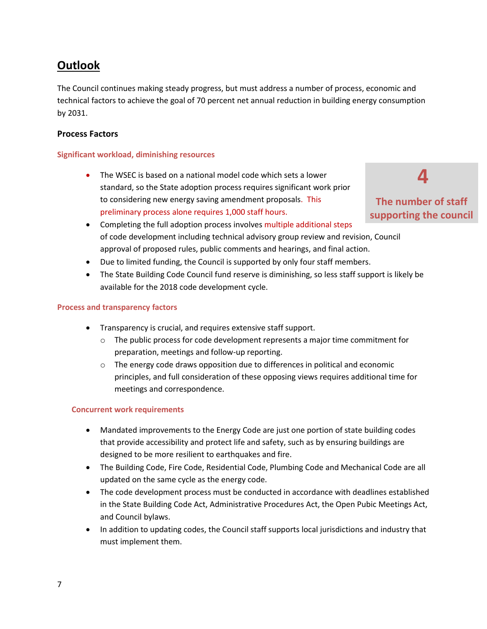# **Outlook**

The Council continues making steady progress, but must address a number of process, economic and technical factors to achieve the goal of 70 percent net annual reduction in building energy consumption by 2031.

#### **Process Factors**

#### **Significant workload, diminishing resources**

- The WSEC is based on a national model code which sets a lower standard, so the State adoption process requires significant work prior to considering new energy saving amendment proposals. This preliminary process alone requires 1,000 staff hours.
- Completing the full adoption process involves multiple additional steps of code development including technical advisory group review and revision, Council approval of proposed rules, public comments and hearings, and final action.
- Due to limited funding, the Council is supported by only four staff members.
- The State Building Code Council fund reserve is diminishing, so less staff support is likely be available for the 2018 code development cycle.

#### **Process and transparency factors**

- Transparency is crucial, and requires extensive staff support.
	- $\circ$  The public process for code development represents a major time commitment for preparation, meetings and follow-up reporting.
	- $\circ$  The energy code draws opposition due to differences in political and economic principles, and full consideration of these opposing views requires additional time for meetings and correspondence.

#### **Concurrent work requirements**

- Mandated improvements to the Energy Code are just one portion of state building codes that provide accessibility and protect life and safety, such as by ensuring buildings are designed to be more resilient to earthquakes and fire.
- The Building Code, Fire Code, Residential Code, Plumbing Code and Mechanical Code are all updated on the same cycle as the energy code.
- The code development process must be conducted in accordance with deadlines established in the State Building Code Act, Administrative Procedures Act, the Open Pubic Meetings Act, and Council bylaws.
- In addition to updating codes, the Council staff supports local jurisdictions and industry that must implement them.

**The number of staff supporting the council**

**4**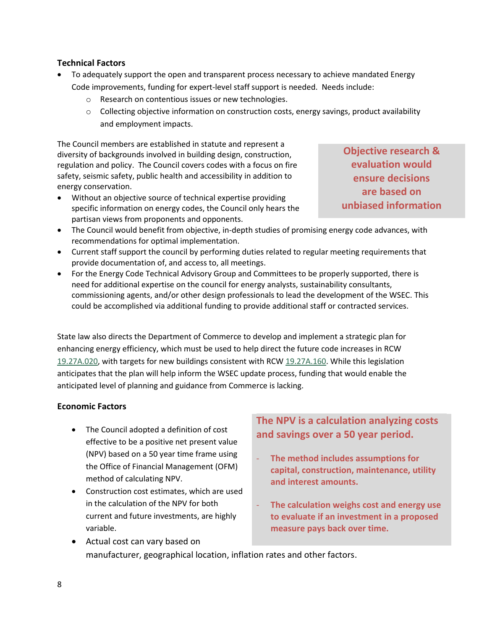#### **Technical Factors**

- To adequately support the open and transparent process necessary to achieve mandated Energy Code improvements, funding for expert-level staff support is needed. Needs include:
	- o Research on contentious issues or new technologies.
	- $\circ$  Collecting objective information on construction costs, energy savings, product availability and employment impacts.

The Council members are established in statute and represent a diversity of backgrounds involved in building design, construction, regulation and policy. The Council covers codes with a focus on fire safety, seismic safety, public health and accessibility in addition to energy conservation.

 Without an objective source of technical expertise providing specific information on energy codes, the Council only hears the partisan views from proponents and opponents.

**Objective research & evaluation would ensure decisions are based on unbiased information**

- The Council would benefit from objective, in-depth studies of promising energy code advances, with recommendations for optimal implementation.
- Current staff support the council by performing duties related to regular meeting requirements that provide documentation of, and access to, all meetings.
- For the Energy Code Technical Advisory Group and Committees to be properly supported, there is need for additional expertise on the council for energy analysts, sustainability consultants, commissioning agents, and/or other design professionals to lead the development of the WSEC. This could be accomplished via additional funding to provide additional staff or contracted services.

State law also directs the Department of Commerce to develop and implement a strategic plan for enhancing energy efficiency, which must be used to help direct the future code increases in RCW [19.27A.020,](http://app.leg.wa.gov/RCW/default.aspx?cite=19.27A.020) with targets for new buildings consistent with RCW [19.27A.160.](http://app.leg.wa.gov/RCW/default.aspx?cite=19.27A.160) While this legislation anticipates that the plan will help inform the WSEC update process, funding that would enable the anticipated level of planning and guidance from Commerce is lacking.

#### **Economic Factors**

- The Council adopted a definition of cost effective to be a positive net present value (NPV) based on a 50 year time frame using the Office of Financial Management (OFM) method of calculating NPV.
- Construction cost estimates, which are used in the calculation of the NPV for both current and future investments, are highly variable.

**The NPV is a calculation analyzing costs and savings over a 50 year period.** 

- **The method includes assumptions for capital, construction, maintenance, utility and interest amounts.**
- **The calculation weighs cost and energy use to evaluate if an investment in a proposed measure pays back over time.**
- Actual cost can vary based on manufacturer, geographical location, inflation rates and other factors.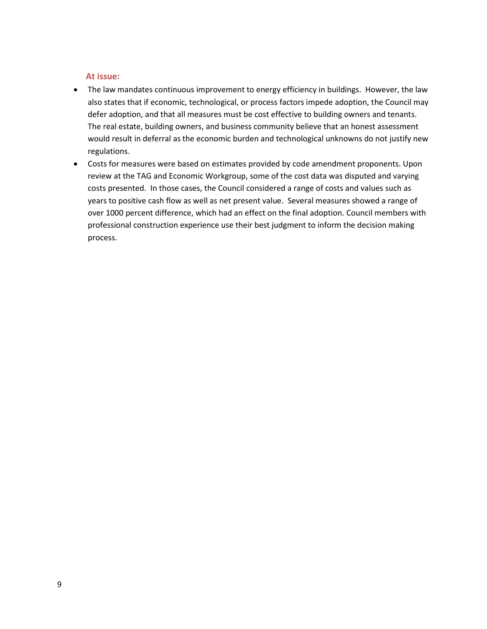#### **At issue:**

- The law mandates continuous improvement to energy efficiency in buildings. However, the law also states that if economic, technological, or process factors impede adoption, the Council may defer adoption, and that all measures must be cost effective to building owners and tenants. The real estate, building owners, and business community believe that an honest assessment would result in deferral as the economic burden and technological unknowns do not justify new regulations.
- Costs for measures were based on estimates provided by code amendment proponents. Upon review at the TAG and Economic Workgroup, some of the cost data was disputed and varying costs presented. In those cases, the Council considered a range of costs and values such as years to positive cash flow as well as net present value. Several measures showed a range of over 1000 percent difference, which had an effect on the final adoption. Council members with professional construction experience use their best judgment to inform the decision making process.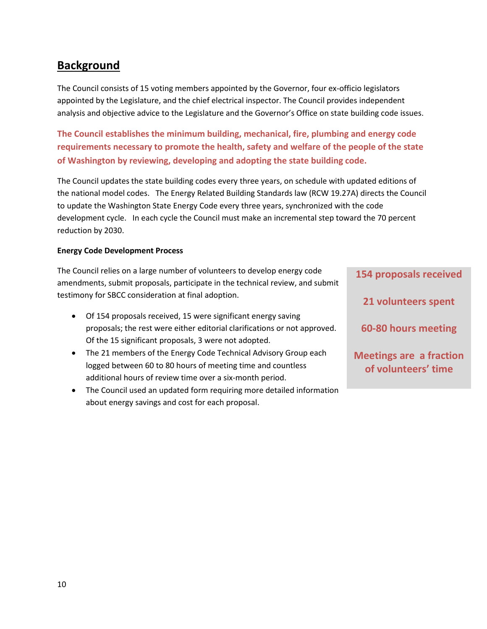# **Background**

The Council consists of 15 voting members appointed by the Governor, four ex-officio legislators appointed by the Legislature, and the chief electrical inspector. The Council provides independent analysis and objective advice to the Legislature and the Governor's Office on state building code issues.

**The Council establishes the minimum building, mechanical, fire, plumbing and energy code requirements necessary to promote the health, safety and welfare of the people of the state of Washington by reviewing, developing and adopting the state building code.** 

The Council updates the state building codes every three years, on schedule with updated editions of the national model codes. The Energy Related Building Standards law (RCW 19.27A) directs the Council to update the Washington State Energy Code every three years, synchronized with the code development cycle. In each cycle the Council must make an incremental step toward the 70 percent reduction by 2030.

#### **Energy Code Development Process**

The Council relies on a large number of volunteers to develop energy code amendments, submit proposals, participate in the technical review, and submit testimony for SBCC consideration at final adoption.

- Of 154 proposals received, 15 were significant energy saving proposals; the rest were either editorial clarifications or not approved. Of the 15 significant proposals, 3 were not adopted.
- The 21 members of the Energy Code Technical Advisory Group each logged between 60 to 80 hours of meeting time and countless additional hours of review time over a six-month period.
- The Council used an updated form requiring more detailed information about energy savings and cost for each proposal.

**154 proposals received 21 volunteers spent 60-80 hours meeting Meetings are a fraction of volunteers' time**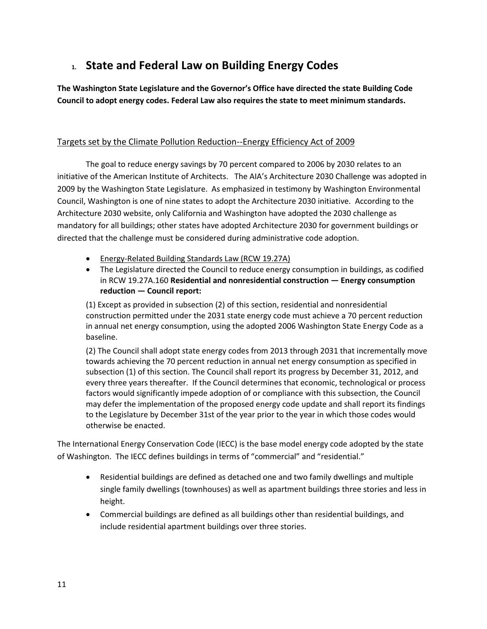# **1. State and Federal Law on Building Energy Codes**

**The Washington State Legislature and the Governor's Office have directed the state Building Code Council to adopt energy codes. Federal Law also requires the state to meet minimum standards.**

## Targets set by the Climate Pollution Reduction--Energy Efficiency Act of 2009

The goal to reduce energy savings by 70 percent compared to 2006 by 2030 relates to an initiative of the American Institute of Architects. The AIA's Architecture 2030 Challenge was adopted in 2009 by the Washington State Legislature. As emphasized in testimony by Washington Environmental Council, Washington is one of nine states to adopt the Architecture 2030 initiative. According to the Architecture 2030 website, only California and Washington have adopted the 2030 challenge as mandatory for all buildings; other states have adopted Architecture 2030 for government buildings or directed that the challenge must be considered during administrative code adoption.

- **Energy-Related Building Standards Law (RCW 19.27A)**
- The Legislature directed the Council to reduce energy consumption in buildings, as codified in RCW 19.27A.160 **Residential and nonresidential construction — Energy consumption reduction — Council report:**

(1) Except as provided in subsection (2) of this section, residential and nonresidential construction permitted under the 2031 state energy code must achieve a 70 percent reduction in annual net energy consumption, using the adopted 2006 Washington State Energy Code as a baseline.

(2) The Council shall adopt state energy codes from 2013 through 2031 that incrementally move towards achieving the 70 percent reduction in annual net energy consumption as specified in subsection (1) of this section. The Council shall report its progress by December 31, 2012, and every three years thereafter. If the Council determines that economic, technological or process factors would significantly impede adoption of or compliance with this subsection, the Council may defer the implementation of the proposed energy code update and shall report its findings to the Legislature by December 31st of the year prior to the year in which those codes would otherwise be enacted.

The International Energy Conservation Code (IECC) is the base model energy code adopted by the state of Washington. The IECC defines buildings in terms of "commercial" and "residential."

- Residential buildings are defined as detached one and two family dwellings and multiple single family dwellings (townhouses) as well as apartment buildings three stories and less in height.
- Commercial buildings are defined as all buildings other than residential buildings, and include residential apartment buildings over three stories.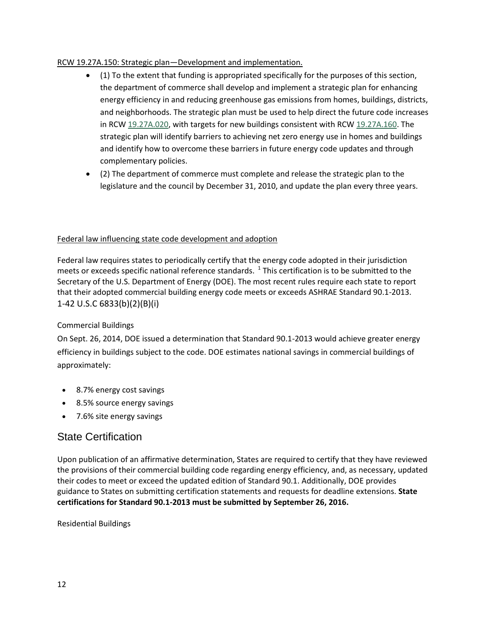#### RCW 19.27A.150: Strategic plan—Development and implementation.

- $(1)$  To the extent that funding is appropriated specifically for the purposes of this section, the department of commerce shall develop and implement a strategic plan for enhancing energy efficiency in and reducing greenhouse gas emissions from homes, buildings, districts, and neighborhoods. The strategic plan must be used to help direct the future code increases in RCW [19.27A.020,](http://app.leg.wa.gov/RCW/default.aspx?cite=19.27A.020) with targets for new buildings consistent with RCW [19.27A.160.](http://app.leg.wa.gov/RCW/default.aspx?cite=19.27A.160) The strategic plan will identify barriers to achieving net zero energy use in homes and buildings and identify how to overcome these barriers in future energy code updates and through complementary policies.
- (2) The department of commerce must complete and release the strategic plan to the legislature and the council by December 31, 2010, and update the plan every three years.

#### Federal law influencing state code development and adoption

Federal law requires states to periodically certify that the energy code adopted in their jurisdiction meets or exceeds specific national reference standards.  $^1$  This certification is to be submitted to the Secretary of the U.S. Department of Energy (DOE). The most recent rules require each state to report that their adopted commercial building energy code meets or exceeds ASHRAE Standard 90.1-2013. 1-42 U.S.C 6833(b)(2)(B)(i)

#### Commercial Buildings

On Sept. 26, 2014, DOE issued a determination that Standard 90.1-2013 would achieve greater energy efficiency in buildings subject to the code. DOE estimates national savings in commercial buildings of approximately:

- 8.7% energy cost savings
- 8.5% source energy savings
- 7.6% site energy savings

## State Certification

Upon publication of an affirmative determination, States are required to certify that they have reviewed the provisions of their commercial building code regarding energy efficiency, and, as necessary, updated their codes to meet or exceed the updated edition of Standard 90.1. Additionally, DOE provides guidance to States on submitting certification statements and requests for deadline extensions. **State certifications for Standard 90.1-2013 must be submitted by September 26, 2016.**

Residential Buildings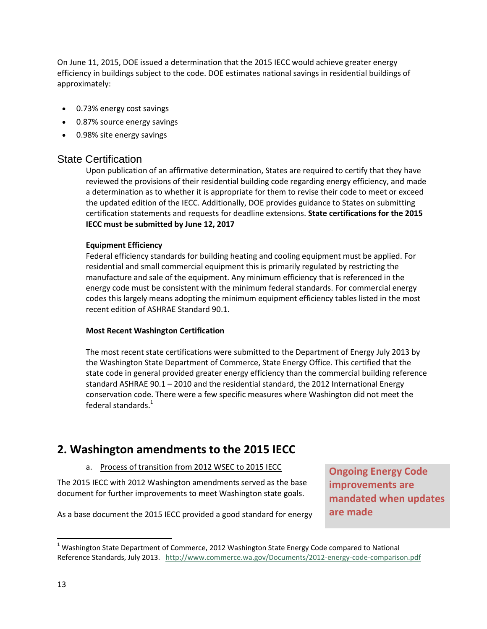On June 11, 2015, DOE issued a determination that the 2015 IECC would achieve greater energy efficiency in buildings subject to the code. DOE estimates national savings in residential buildings of approximately:

- 0.73% energy cost savings
- 0.87% source energy savings
- 0.98% site energy savings

#### State Certification

Upon publication of an affirmative determination, States are required to certify that they have reviewed the provisions of their residential building code regarding energy efficiency, and made a determination as to whether it is appropriate for them to revise their code to meet or exceed the updated edition of the IECC. Additionally, DOE provides guidance to States on submitting certification statements and requests for deadline extensions. **State certifications for the 2015 IECC must be submitted by June 12, 2017** 

#### **Equipment Efficiency**

Federal efficiency standards for building heating and cooling equipment must be applied. For residential and small commercial equipment this is primarily regulated by restricting the manufacture and sale of the equipment. Any minimum efficiency that is referenced in the energy code must be consistent with the minimum federal standards. For commercial energy codes this largely means adopting the minimum equipment efficiency tables listed in the most recent edition of ASHRAE Standard 90.1.

#### **Most Recent Washington Certification**

The most recent state certifications were submitted to the Department of Energy July 2013 by the Washington State Department of Commerce, State Energy Office. This certified that the state code in general provided greater energy efficiency than the commercial building reference standard ASHRAE 90.1 – 2010 and the residential standard, the 2012 International Energy conservation code. There were a few specific measures where Washington did not meet the federal standards. $^{1}$ 

# **2. Washington amendments to the 2015 IECC**

#### a. Process of transition from 2012 WSEC to 2015 IECC

The 2015 IECC with 2012 Washington amendments served as the base document for further improvements to meet Washington state goals.

**Ongoing Energy Code improvements are mandated when updates are made**

As a base document the 2015 IECC provided a good standard for energy

 $\overline{\phantom{a}}$ 

 $1$  Washington State Department of Commerce, 2012 Washington State Energy Code compared to National Reference Standards, July 2013. <http://www.commerce.wa.gov/Documents/2012-energy-code-comparison.pdf>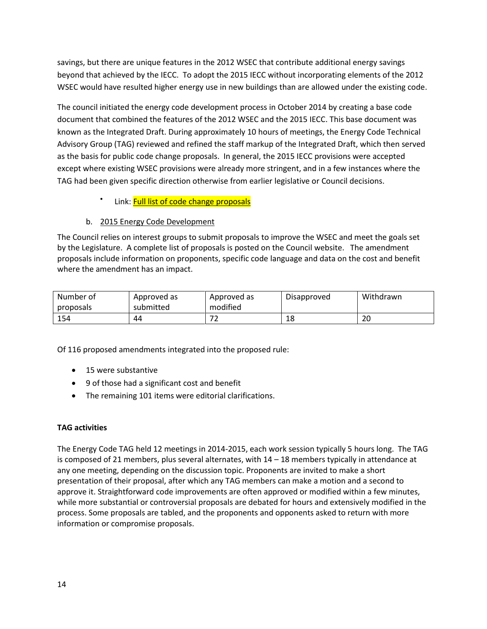savings, but there are unique features in the 2012 WSEC that contribute additional energy savings beyond that achieved by the IECC. To adopt the 2015 IECC without incorporating elements of the 2012 WSEC would have resulted higher energy use in new buildings than are allowed under the existing code.

The council initiated the energy code development process in October 2014 by creating a base code document that combined the features of the 2012 WSEC and the 2015 IECC. This base document was known as the Integrated Draft. During approximately 10 hours of meetings, the Energy Code Technical Advisory Group (TAG) reviewed and refined the staff markup of the Integrated Draft, which then served as the basis for public code change proposals. In general, the 2015 IECC provisions were accepted except where existing WSEC provisions were already more stringent, and in a few instances where the TAG had been given specific direction otherwise from earlier legislative or Council decisions.

> $\bullet$ Link: [Full list of code change proposals](https://fortress.wa.gov/ga/apps/SBCC/Page.aspx?cid=4883)

#### b. 2015 Energy Code Development

The Council relies on interest groups to submit proposals to improve the WSEC and meet the goals set by the Legislature. A complete list of proposals is posted on the Council website. The amendment proposals include information on proponents, specific code language and data on the cost and benefit where the amendment has an impact.

| Number of<br>proposals | Approved as<br>submitted | Approved as<br>modified | Disapproved | Withdrawn |
|------------------------|--------------------------|-------------------------|-------------|-----------|
| 154                    | 44                       |                         | 18          | 20        |

Of 116 proposed amendments integrated into the proposed rule:

- 15 were substantive
- 9 of those had a significant cost and benefit
- The remaining 101 items were editorial clarifications.

#### **TAG activities**

The Energy Code TAG held 12 meetings in 2014-2015, each work session typically 5 hours long. The TAG is composed of 21 members, plus several alternates, with 14 – 18 members typically in attendance at any one meeting, depending on the discussion topic. Proponents are invited to make a short presentation of their proposal, after which any TAG members can make a motion and a second to approve it. Straightforward code improvements are often approved or modified within a few minutes, while more substantial or controversial proposals are debated for hours and extensively modified in the process. Some proposals are tabled, and the proponents and opponents asked to return with more information or compromise proposals.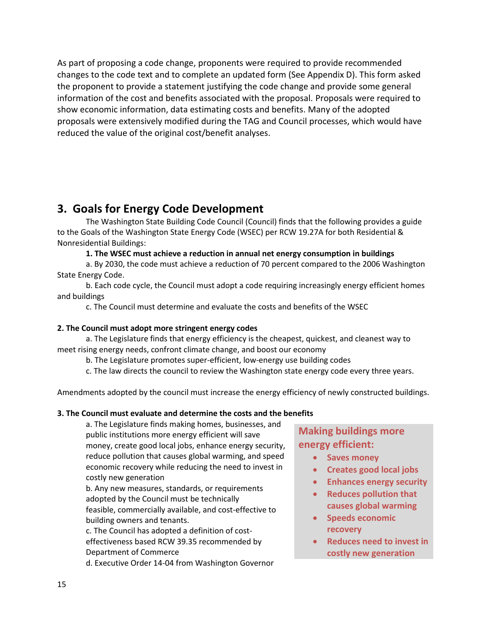As part of proposing a code change, proponents were required to provide recommended changes to the code text and to complete an updated form (See Appendix D). This form asked the proponent to provide a statement justifying the code change and provide some general information of the cost and benefits associated with the proposal. Proposals were required to show economic information, data estimating costs and benefits. Many of the adopted proposals were extensively modified during the TAG and Council processes, which would have reduced the value of the original cost/benefit analyses.

# **3. Goals for Energy Code Development**

The Washington State Building Code Council (Council) finds that the following provides a guide to the Goals of the Washington State Energy Code (WSEC) per RCW 19.27A for both Residential & Nonresidential Buildings:

**1. The WSEC must achieve a reduction in annual net energy consumption in buildings** 

a. By 2030, the code must achieve a reduction of 70 percent compared to the 2006 Washington State Energy Code.

b. Each code cycle, the Council must adopt a code requiring increasingly energy efficient homes and buildings

c. The Council must determine and evaluate the costs and benefits of the WSEC

#### **2. The Council must adopt more stringent energy codes**

a. The Legislature finds that energy efficiency is the cheapest, quickest, and cleanest way to meet rising energy needs, confront climate change, and boost our economy

b. The Legislature promotes super-efficient, low-energy use building codes

c. The law directs the council to review the Washington state energy code every three years.

Amendments adopted by the council must increase the energy efficiency of newly constructed buildings.

#### **3. The Council must evaluate and determine the costs and the benefits**

a. The Legislature finds making homes, businesses, and public institutions more energy efficient will save money, create good local jobs, enhance energy security, reduce pollution that causes global warming, and speed economic recovery while reducing the need to invest in costly new generation

b. Any new measures, standards, or requirements adopted by the Council must be technically feasible, commercially available, and cost-effective to building owners and tenants.

c. The Council has adopted a definition of costeffectiveness based RCW 39.35 recommended by Department of Commerce

d. Executive Order 14-04 from Washington Governor

## **Making buildings more energy efficient:**

- **Saves money**
- **Creates good local jobs**
- **Enhances energy security**
- **Reduces pollution that**
- **causes global warming Speeds economic**
- **recovery**
- **Reduces need to invest in costly new generation**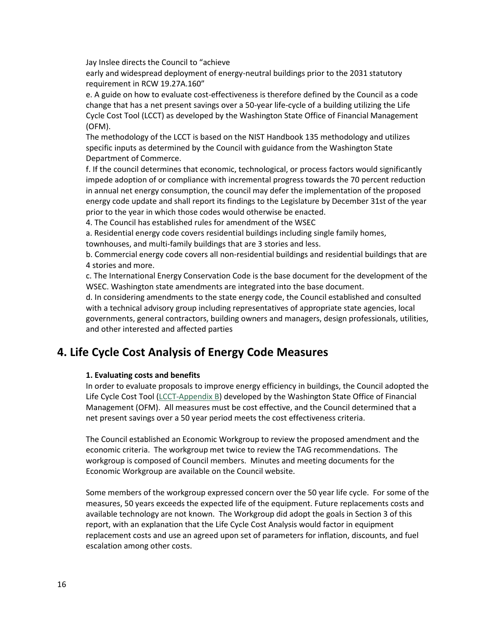Jay Inslee directs the Council to "achieve

early and widespread deployment of energy-neutral buildings prior to the 2031 statutory requirement in RCW 19.27A.160"

e. A guide on how to evaluate cost-effectiveness is therefore defined by the Council as a code change that has a net present savings over a 50-year life-cycle of a building utilizing the Life Cycle Cost Tool (LCCT) as developed by the Washington State Office of Financial Management (OFM).

The methodology of the LCCT is based on the NIST Handbook 135 methodology and utilizes specific inputs as determined by the Council with guidance from the Washington State Department of Commerce.

f. If the council determines that economic, technological, or process factors would significantly impede adoption of or compliance with incremental progress towards the 70 percent reduction in annual net energy consumption, the council may defer the implementation of the proposed energy code update and shall report its findings to the Legislature by December 31st of the year prior to the year in which those codes would otherwise be enacted.

4. The Council has established rules for amendment of the WSEC

a. Residential energy code covers residential buildings including single family homes, townhouses, and multi-family buildings that are 3 stories and less.

b. Commercial energy code covers all non-residential buildings and residential buildings that are 4 stories and more.

c. The International Energy Conservation Code is the base document for the development of the WSEC. Washington state amendments are integrated into the base document.

d. In considering amendments to the state energy code, the Council established and consulted with a technical advisory group including representatives of appropriate state agencies, local governments, general contractors, building owners and managers, design professionals, utilities, and other interested and affected parties

## **4. Life Cycle Cost Analysis of Energy Code Measures**

#### **1. Evaluating costs and benefits**

In order to evaluate proposals to improve energy efficiency in buildings, the Council adopted the Life Cycle Cost Tool [\(LCCT-Appendix B\)](https://fortress.wa.gov/ga/apps/SBCC/File.ashx?cid=6075) developed by the Washington State Office of Financial Management (OFM). All measures must be cost effective, and the Council determined that a net present savings over a 50 year period meets the cost effectiveness criteria.

The Council established an Economic Workgroup to review the proposed amendment and the economic criteria. The workgroup met twice to review the TAG recommendations. The workgroup is composed of Council members. Minutes and meeting documents for the Economic Workgroup are available on the Council website.

Some members of the workgroup expressed concern over the 50 year life cycle. For some of the measures, 50 years exceeds the expected life of the equipment. Future replacements costs and available technology are not known. The Workgroup did adopt the goals in Section 3 of this report, with an explanation that the Life Cycle Cost Analysis would factor in equipment replacement costs and use an agreed upon set of parameters for inflation, discounts, and fuel escalation among other costs.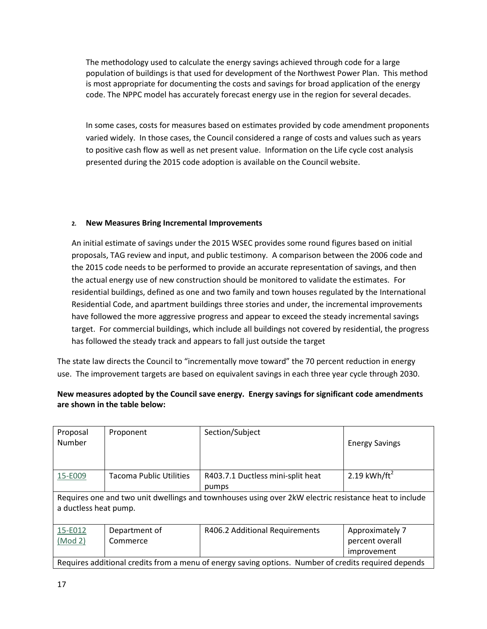The methodology used to calculate the energy savings achieved through code for a large population of buildings is that used for development of the Northwest Power Plan. This method is most appropriate for documenting the costs and savings for broad application of the energy code. The NPPC model has accurately forecast energy use in the region for several decades.

In some cases, costs for measures based on estimates provided by code amendment proponents varied widely. In those cases, the Council considered a range of costs and values such as years to positive cash flow as well as net present value. Information on the Life cycle cost analysis presented during the 2015 code adoption is available on the Council website.

#### **2. New Measures Bring Incremental Improvements**

An initial estimate of savings under the 2015 WSEC provides some round figures based on initial proposals, TAG review and input, and public testimony. A comparison between the 2006 code and the 2015 code needs to be performed to provide an accurate representation of savings, and then the actual energy use of new construction should be monitored to validate the estimates. For residential buildings, defined as one and two family and town houses regulated by the International Residential Code, and apartment buildings three stories and under, the incremental improvements have followed the more aggressive progress and appear to exceed the steady incremental savings target. For commercial buildings, which include all buildings not covered by residential, the progress has followed the steady track and appears to fall just outside the target

The state law directs the Council to "incrementally move toward" the 70 percent reduction in energy use. The improvement targets are based on equivalent savings in each three year cycle through 2030.

#### **New measures adopted by the Council save energy. Energy savings for significant code amendments are shown in the table below:**

| Proposal<br>Number                                                                                                             | Proponent                      | Section/Subject                            | <b>Energy Savings</b>    |
|--------------------------------------------------------------------------------------------------------------------------------|--------------------------------|--------------------------------------------|--------------------------|
| 15-E009                                                                                                                        | <b>Tacoma Public Utilities</b> | R403.7.1 Ductless mini-split heat<br>pumps | 2.19 kWh/ft <sup>2</sup> |
| Requires one and two unit dwellings and townhouses using over 2kW electric resistance heat to include<br>a ductless heat pump. |                                |                                            |                          |
| 15-E012                                                                                                                        | Department of                  | R406.2 Additional Requirements             | Approximately 7          |
| (Mod 2)                                                                                                                        | Commerce                       |                                            | percent overall          |
|                                                                                                                                |                                |                                            | improvement              |
| Requires additional credits from a menu of energy saving options. Number of credits required depends                           |                                |                                            |                          |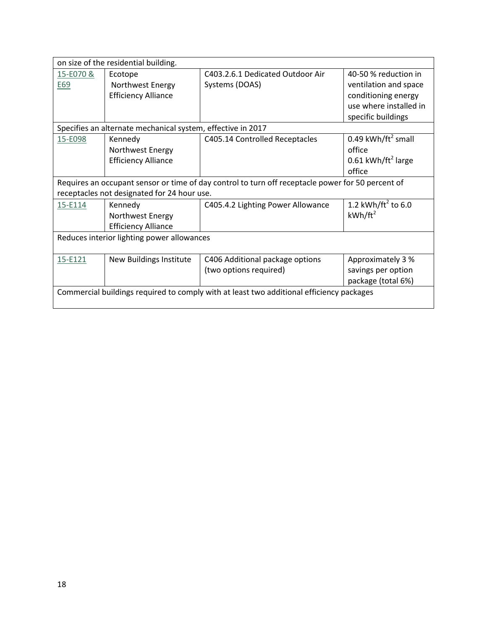| on size of the residential building.                                                              |                                                             |                                   |                                |
|---------------------------------------------------------------------------------------------------|-------------------------------------------------------------|-----------------------------------|--------------------------------|
| 15-E070 &                                                                                         | Ecotope                                                     | C403.2.6.1 Dedicated Outdoor Air  | 40-50 % reduction in           |
| E69                                                                                               | Northwest Energy                                            | Systems (DOAS)                    | ventilation and space          |
|                                                                                                   | <b>Efficiency Alliance</b>                                  |                                   | conditioning energy            |
|                                                                                                   |                                                             |                                   | use where installed in         |
|                                                                                                   |                                                             |                                   | specific buildings             |
|                                                                                                   | Specifies an alternate mechanical system, effective in 2017 |                                   |                                |
| 15-E098                                                                                           | Kennedy                                                     | C405.14 Controlled Receptacles    | 0.49 kWh/ft <sup>2</sup> small |
|                                                                                                   | Northwest Energy                                            |                                   | office                         |
|                                                                                                   | <b>Efficiency Alliance</b>                                  |                                   | 0.61 kWh/ft <sup>2</sup> large |
|                                                                                                   |                                                             |                                   | office                         |
| Requires an occupant sensor or time of day control to turn off receptacle power for 50 percent of |                                                             |                                   |                                |
|                                                                                                   | receptacles not designated for 24 hour use.                 |                                   |                                |
| 15-E114                                                                                           | Kennedy                                                     | C405.4.2 Lighting Power Allowance | 1.2 kWh/ft <sup>2</sup> to 6.0 |
|                                                                                                   | Northwest Energy                                            |                                   | $kWh/ft^2$                     |
|                                                                                                   | <b>Efficiency Alliance</b>                                  |                                   |                                |
| Reduces interior lighting power allowances                                                        |                                                             |                                   |                                |
|                                                                                                   |                                                             |                                   |                                |
| 15-E121                                                                                           | New Buildings Institute                                     | C406 Additional package options   | Approximately 3 %              |
|                                                                                                   |                                                             | (two options required)            | savings per option             |
|                                                                                                   |                                                             |                                   | package (total 6%)             |
| Commercial buildings required to comply with at least two additional efficiency packages          |                                                             |                                   |                                |
|                                                                                                   |                                                             |                                   |                                |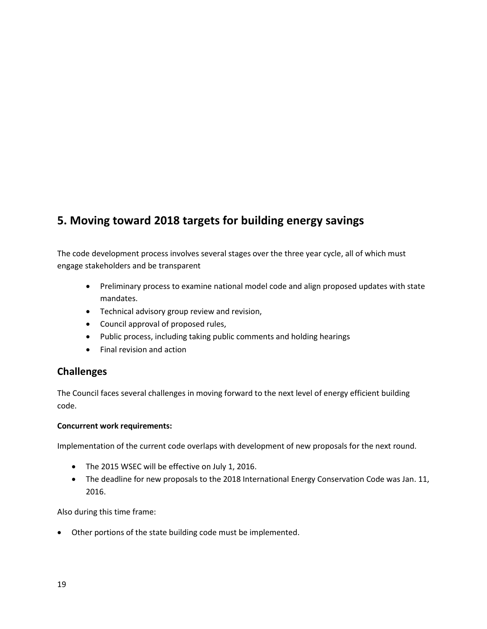# **5. Moving toward 2018 targets for building energy savings**

The code development process involves several stages over the three year cycle, all of which must engage stakeholders and be transparent

- Preliminary process to examine national model code and align proposed updates with state mandates.
- Technical advisory group review and revision,
- Council approval of proposed rules,
- Public process, including taking public comments and holding hearings
- Final revision and action

## **Challenges**

The Council faces several challenges in moving forward to the next level of energy efficient building code.

#### **Concurrent work requirements:**

Implementation of the current code overlaps with development of new proposals for the next round.

- The 2015 WSEC will be effective on July 1, 2016.
- The deadline for new proposals to the 2018 International Energy Conservation Code was Jan. 11, 2016.

Also during this time frame:

Other portions of the state building code must be implemented.